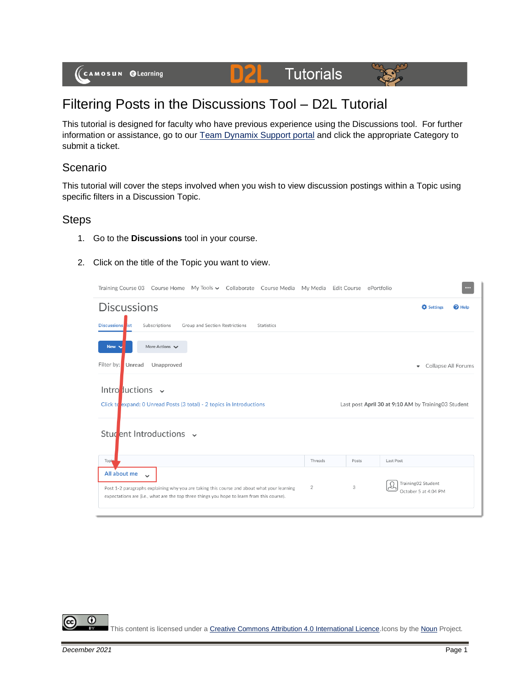

## Filtering Posts in the Discussions Tool – D2L Tutorial

This tutorial is designed for faculty who have previous experience using the Discussions tool. For further information or assistance, go to our [Team Dynamix Support portal](https://camosun.teamdynamix.com/TDClient/67/Portal/Requests/ServiceCatalog?CategoryID=523) and click the appropriate Category to submit a ticket.

## Scenario

This tutorial will cover the steps involved when you wish to view discussion postings within a Topic using specific filters in a Discussion Topic.

## **Steps**

- 1. Go to the **Discussions** tool in your course.
- 2. Click on the title of the Topic you want to view.

| Training Course 03 Course Home My Tools v Collaborate Course Media My Media Edit Course ePortfolio                                                                                                                               |         |       | $\cdots$                                            |
|----------------------------------------------------------------------------------------------------------------------------------------------------------------------------------------------------------------------------------|---------|-------|-----------------------------------------------------|
| <b>Discussions</b>                                                                                                                                                                                                               |         |       | <b>D</b> Settings<br>$\mathbf{\Theta}$ Help         |
| Subscriptions<br>Group and Section Restrictions<br>Statistics<br><b>Discussions</b> ist                                                                                                                                          |         |       |                                                     |
| More Actions V<br>New v                                                                                                                                                                                                          |         |       |                                                     |
| Filter by:<br>Unread<br>Unapproved                                                                                                                                                                                               |         |       | Collapse All Forums<br>$\overline{\phantom{a}}$     |
| Intro ductions $\sim$                                                                                                                                                                                                            |         |       |                                                     |
| Click to expand: 0 Unread Posts (3 total) - 2 topics in Introductions                                                                                                                                                            |         |       | Last post April 30 at 9:10 AM by Training03 Student |
| Student Introductions v                                                                                                                                                                                                          |         |       |                                                     |
| Topi                                                                                                                                                                                                                             | Threads | Posts | Last Post                                           |
| All about me<br>$\ddot{\phantom{0}}$<br>Post 1-2 paragraphs explaining why you are taking this course and about what your learning<br>expectations are (i.e., what are the top three things you hope to learn from this course). | 2       | 3     | Training02 Student<br>October 5 at 4:04 PM          |

 $\odot$ This content is licensed under [a Creative Commons Attribution 4.0 International Licence.I](https://creativecommons.org/licenses/by/4.0/)cons by th[e Noun](https://creativecommons.org/website-icons/) Project.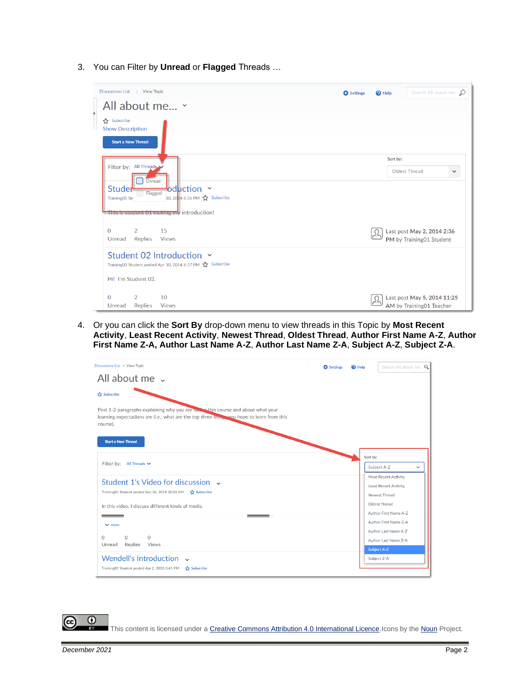3. You can Filter by **Unread** or **Flagged** Threads …

| Discussions List > View Topic                                                                                            | Search All about me. O<br><b>D</b> Settings<br><sup>O</sup> Help |  |  |
|--------------------------------------------------------------------------------------------------------------------------|------------------------------------------------------------------|--|--|
| All about me v                                                                                                           |                                                                  |  |  |
| Subscribe<br><b>Show Description</b>                                                                                     |                                                                  |  |  |
| <b>Start a New Thread</b>                                                                                                |                                                                  |  |  |
|                                                                                                                          | Sort by:                                                         |  |  |
| Filter by: All Threads                                                                                                   | Oldest Thread<br>$\checkmark$                                    |  |  |
| <b>Unread</b><br>Studer<br>$\bullet$ duction $\sim$<br><b>Flagged</b><br>30, 2014 6:36 PM 17 Subscribe<br>Training01 Sti |                                                                  |  |  |
| This is student 01 making my introduction!                                                                               |                                                                  |  |  |
| 2<br>15<br>$\Omega$<br><b>Replies</b><br><b>Views</b><br>Unread                                                          | Last post May 2, 2014 2:36<br>PM by Training01 Student           |  |  |
| Student 02 Introduction Y<br>Training02 Student posted Apr 30, 2014 6:37 PM <a> Subscribe</a>                            |                                                                  |  |  |
| Hi! I'm Student 02.                                                                                                      |                                                                  |  |  |
| $\mathcal{P}$<br>10<br>$\Omega$                                                                                          | Last post May 5, 2014 11:25                                      |  |  |
| <b>Replies</b><br>Unread<br><b>Views</b>                                                                                 | AM by Training01 Teacher                                         |  |  |

4. Or you can click the **Sort By** drop-down menu to view threads in this Topic by **Most Recent Activity**, **Least Recent Activity**, **Newest Thread**, **Oldest Thread**, **Author First Name A-Z**, **Author First Name Z-A, Author Last Name A-Z**, **Author Last Name Z-A**, **Subject A-Z**, **Subject Z-A**.

| Discussions List > View Topic                                                                                                                                                               | <b>D</b> Settings | $\mathbf{\Theta}$ Help | Search All about me Q                                                        |
|---------------------------------------------------------------------------------------------------------------------------------------------------------------------------------------------|-------------------|------------------------|------------------------------------------------------------------------------|
| All about me .                                                                                                                                                                              |                   |                        |                                                                              |
| Subscribe                                                                                                                                                                                   |                   |                        |                                                                              |
| Post 1-2 paragraphs explaining why you are take a this course and about what your<br>learning expectations are (i.e., what are the top three things you hope to learn from this<br>course). |                   |                        |                                                                              |
| <b>Start a New Thread</b>                                                                                                                                                                   |                   |                        |                                                                              |
| Filter by: All Threads $\vee$                                                                                                                                                               |                   |                        | Sort by:<br>Subject A-Z<br>$\checkmark$                                      |
| Student 1's Video for discussion v<br>Training01 Student posted Sep 26, 2019 10:26 AM 27 Subscribe                                                                                          |                   |                        | <b>Most Recent Activity</b><br><b>Least Recent Activity</b><br>Newest Thread |
| In this video. I discuss different kinds of media.                                                                                                                                          |                   |                        | Oldest Thread<br>Author First Name A-Z                                       |
| $\vee$ more                                                                                                                                                                                 |                   |                        | Author First Name Z-A                                                        |
| $\Omega$<br>$\circ$<br>$\Omega$<br>Replies<br>Unread<br>Views                                                                                                                               |                   |                        | Author Last Name A-Z<br>Author Last Name Z-A<br><b>Subject A-Z</b>           |
| Wendell's Introduction v<br>Training01 Student posted Apr 2, 2020 3:41 PM<br>Subscribe                                                                                                      |                   |                        | Subject Z-A                                                                  |

This content is licensed under [a Creative Commons Attribution 4.0 International Licence.I](https://creativecommons.org/licenses/by/4.0/)cons by th[e Noun](https://creativecommons.org/website-icons/) Project.

 $\odot$ 

ī3Y

(cc)